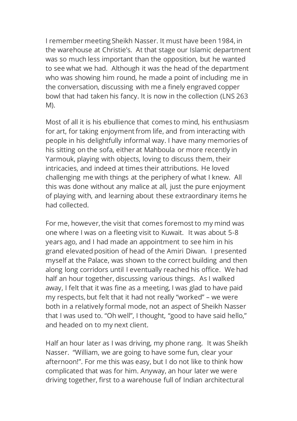I remember meeting Sheikh Nasser. It must have been 1984, in the warehouse at Christie's. At that stage our Islamic department was so much less important than the opposition, but he wanted to see what we had. Although it was the head of the department who was showing him round, he made a point of including me in the conversation, discussing with me a finely engraved copper bowl that had taken his fancy. It is now in the collection (LNS 263 M).

Most of all it is his ebullience that comes to mind, his enthusiasm for art, for taking enjoyment from life, and from interacting with people in his delightfully informal way. I have many memories of his sitting on the sofa, either at Mahboula or more recently in Yarmouk, playing with objects, loving to discuss them, their intricacies, and indeed at times their attributions. He loved challenging me with things at the periphery of what I knew. All this was done without any malice at all, just the pure enjoyment of playing with, and learning about these extraordinary items he had collected.

For me, however, the visit that comes foremost to my mind was one where I was on a fleeting visit to Kuwait. It was about 5-8 years ago, and I had made an appointment to see him in his grand elevated position of head of the Amiri Diwan. I presented myself at the Palace, was shown to the correct building and then along long corridors until I eventually reached his office. We had half an hour together, discussing various things. As I walked away, I felt that it was fine as a meeting, I was glad to have paid my respects, but felt that it had not really "worked" – we were both in a relatively formal mode, not an aspect of Sheikh Nasser that I was used to. "Oh well", I thought, "good to have said hello," and headed on to my next client.

Half an hour later as I was driving, my phone rang. It was Sheikh Nasser. "William, we are going to have some fun, clear your afternoon!". For me this was easy, but I do not like to think how complicated that was for him. Anyway, an hour later we were driving together, first to a warehouse full of Indian architectural